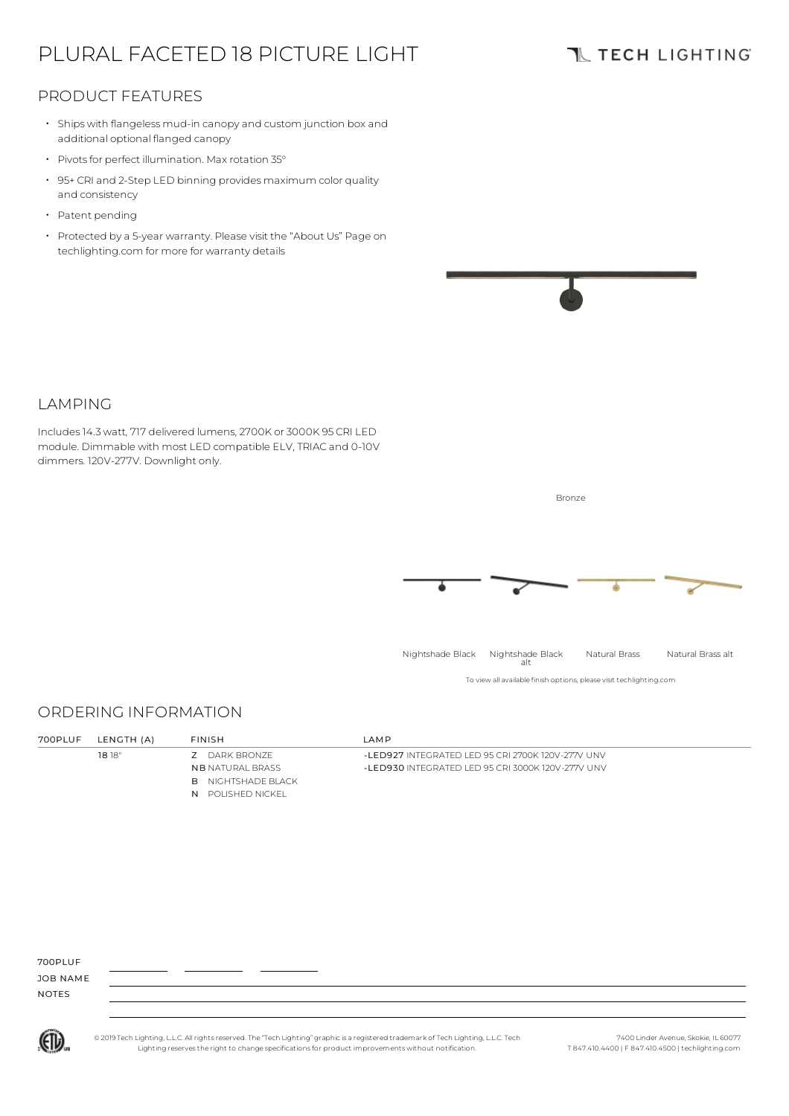# PLURAL FACETED 18 PICTURE LIGHT

## **TL TECH LIGHTING**

### PRODUCT FEATURES

- Ships with flangeless mud-in canopy and custom junction box and additional optional flanged canopy
- Pivots for perfect illumination. Max rotation 35°
- 95+ CRI and 2-Step LED binning provides maximum color quality and consistency
- Patent pending
- Protected by a 5-year warranty. Please visit the "About Us" Page on techlighting.com for more for warranty details



#### LAMPING

Includes14.3watt, 717 delivered lumens, 2700K or 3000K 95 CRI LED module. Dimmable with most LED compatible ELV, TRIAC and 0-10V dimmers. 120V-277V. Downlight only.

ORDERING INFORMATION

18 18" Z DARK BRONZE

NB NATURAL BRASS **B** NIGHTSHADE BLACK N POLISHED NICKEL

700PLUF

JOB NAME NOTES



© 2019 Tech Lighting, L.L.C. All rightsreserved. The "Tech Lighting" graphicis a registered trademark of Tech Lighting, L.L.C. Tech Lighting reservesthe right to change specificationsfor product improvements without notification.

7400 Linder Avenue, Skokie, IL 60077 T 847.410.4400 | F 847.410.4500 | techlighting.com